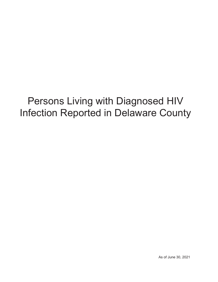# Persons Living with Diagnosed HIV Infection Reported in Delaware County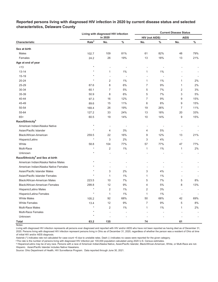|                                              |                   | Living with diagnosed HIV infection |                          | <b>Current Disease Status</b> |       |                          |       |  |  |  |
|----------------------------------------------|-------------------|-------------------------------------|--------------------------|-------------------------------|-------|--------------------------|-------|--|--|--|
|                                              |                   | in 2020                             |                          | <b>HIV (not AIDS)</b>         |       | <b>AIDS</b>              |       |  |  |  |
| Characteristic                               | Rate <sup>a</sup> | No.                                 | $\%$                     | No.                           | $\%$  | No.                      | $\%$  |  |  |  |
| Sex at birth                                 |                   |                                     |                          |                               |       |                          |       |  |  |  |
| Males                                        | 102.7             | 109                                 | 81%                      | 61                            | 82%   | 48                       | 79%   |  |  |  |
| Females                                      | 24.2              | 26                                  | 19%                      | 13                            | 18%   | 13                       | 21%   |  |  |  |
| Age at end of year                           |                   |                                     |                          |                               |       |                          |       |  |  |  |
| < 13                                         | $\star$           |                                     | $\overline{\phantom{a}}$ |                               |       |                          |       |  |  |  |
| $13 - 14$                                    | $\star$           | 1                                   | $1\%$                    | 1                             | $1\%$ |                          |       |  |  |  |
| 15-19                                        |                   | $\overline{a}$                      |                          |                               |       |                          |       |  |  |  |
| $20 - 24$                                    | $\star$           | $\overline{2}$                      | 1%                       | $\mathbf{1}$                  | $1\%$ | 1                        | 2%    |  |  |  |
| 25-29                                        | 87.6              | 8                                   | $6\%$                    | 7                             | 9%    | 1                        | 2%    |  |  |  |
| 30-34                                        | 60.1              | $\overline{7}$                      | 5%                       | 5                             | 7%    | $\overline{2}$           | 3%    |  |  |  |
| 35-39                                        | 50.9              | 8                                   | 6%                       | 5                             | 7%    | 3                        | $5\%$ |  |  |  |
| 40-44                                        | 97.3              | 16                                  | 12%                      | 7                             | 9%    | 9                        | 15%   |  |  |  |
| 45-49                                        | 89.6              | 15                                  | 11%                      | 6                             | 8%    | 9                        | 15%   |  |  |  |
| 50-54                                        | 169.4             | 26                                  | 19%                      | 19                            | 26%   | $\overline{7}$           | 11%   |  |  |  |
| 55-64                                        | 127.2             | 33                                  | 24%                      | 13                            | 18%   | 20                       | 33%   |  |  |  |
| $65+$                                        | 60.5              | 19                                  | 14%                      | 10                            | 14%   | 9                        | 15%   |  |  |  |
| Race/Ethnicity <sup>b</sup>                  |                   |                                     |                          |                               |       |                          |       |  |  |  |
| American Indian/Alaska Native                | $\star$           | $\overline{\phantom{a}}$            |                          | $\overline{a}$                |       |                          |       |  |  |  |
| Asian/Pacific Islander                       | $\star$           | 4                                   | 3%                       | 4                             | $5\%$ |                          |       |  |  |  |
| Black/African-American                       | 259.5             | 22                                  | 16%                      | 9                             | 12%   | 13                       | 21%   |  |  |  |
| Hispanic/Latinx                              | $\star$           | 3                                   | 2%                       | 3                             | 4%    | $\overline{\phantom{a}}$ |       |  |  |  |
| White                                        | 58.8              | 104                                 | 77%                      | 57                            | 77%   | 47                       | 77%   |  |  |  |
| Multi-Race                                   | $\star$           | $\overline{c}$                      | 1%                       | $\mathbf{1}$                  | 1%    | 1                        | 2%    |  |  |  |
| Unknown                                      | $\star$           |                                     |                          |                               |       |                          |       |  |  |  |
| Race/Ethnicity <sup>b</sup> and Sex at birth |                   |                                     |                          |                               |       |                          |       |  |  |  |
| American Indian/Alaska Native Males          | $\star$           |                                     |                          |                               |       |                          |       |  |  |  |
| American Indian/Alaska Native Females        |                   | ÷,                                  |                          |                               |       |                          |       |  |  |  |
| Asian/Pacific Islander Males                 |                   | 3                                   | 2%                       | 3                             | 4%    |                          |       |  |  |  |
| Asian/Pacific Islander Females               | $\star$           | 1                                   | 1%                       | 1                             | $1\%$ |                          |       |  |  |  |
| <b>Black/African-American Males</b>          | 223.5             | 10                                  | 7%                       | 5                             | 7%    | 5                        | 8%    |  |  |  |
| <b>Black/African-American Females</b>        | 299.8             | 12                                  | 9%                       | 4                             | 5%    | 8                        | 13%   |  |  |  |
| <b>Hispanic/Latino Males</b>                 | $\star$           | $\overline{2}$                      | $1\%$                    | 2                             | 3%    |                          |       |  |  |  |
| Hispanic/Latina Females                      | $\star$           | $\mathbf{1}$                        | 1%                       | $\mathbf{1}$                  | $1\%$ | $\overline{a}$           |       |  |  |  |
| <b>White Males</b>                           | 105.2             | 92                                  | 68%                      | 50                            | 68%   | 42                       | 69%   |  |  |  |
| <b>White Females</b>                         | 13.4              | 12                                  | 9%                       | 7                             | 9%    | 5                        | 8%    |  |  |  |
| Multi-Race Males                             | $\star$           | 2                                   | $1\%$                    | 1                             | $1\%$ | 1                        | 2%    |  |  |  |
| <b>Multi-Race Females</b>                    | $\star$           |                                     |                          |                               |       |                          |       |  |  |  |
| Unknown                                      | $\star$           |                                     |                          |                               |       |                          |       |  |  |  |
| <b>Total</b>                                 | 63.2              | 135                                 |                          | 74                            |       | 61                       |       |  |  |  |

# **Reported persons living with diagnosed HIV infection in 2020 by current disease status and selected characteristics, Delaware County**

Living with diagnosed HIV infection represents all persons ever diagnosed and reported with HIV and/or AIDS who have not been reported as having died as of December 31, 2020. Persons living with diagnosed HIV infection represent persons living in Ohio as of December 31, 2020, regardless of whether the person was a resident of Ohio at time of initial HIV and/or AIDS diagnosis.

Asterisk (\*) indicates rate not calculated for case count <5 due to unstable rates. Dash (-) indicates no cases were reported for the given category.

<sup>a</sup>The rate is the number of persons living with diagnosed HIV infection per 100,000 population calculated using 2020 U.S. Census estimates.

ᵇ Hispanics/Latinx may be of any race. Persons with a race of American Indian/Alaska Native, Asian/Pacific Islander, Black/African-American, White, or Multi-Race are not-Hispanic. Asian/Pacific Islander includes Native Hawaiians.

Notes: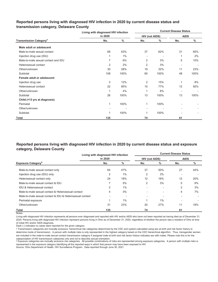# **Reported persons living with diagnosed HIV infection in 2020 by current disease status and transmission category, Delaware County**

|                                          | Living with diagnosed HIV infection |       | <b>Current Disease Status</b> |      |             |      |  |  |  |  |
|------------------------------------------|-------------------------------------|-------|-------------------------------|------|-------------|------|--|--|--|--|
|                                          | in 2020                             |       | <b>HIV (not AIDS)</b>         |      | <b>AIDS</b> |      |  |  |  |  |
| <b>Transmission Category<sup>a</sup></b> | No.                                 | $\%$  | No.                           | $\%$ | No.         | $\%$ |  |  |  |  |
| Male adult or adolescent                 |                                     |       |                               |      |             |      |  |  |  |  |
| Male-to-male sexual contact              | 68                                  | 63%   | 37                            | 62%  | 31          | 65%  |  |  |  |  |
| Injection drug use (IDU)                 |                                     | $1\%$ |                               |      | 1           | 2%   |  |  |  |  |
| Male-to-male sexual contact and IDU      |                                     | 6%    | 2                             | 3%   | 5           | 10%  |  |  |  |  |
| Heterosexual contact                     | $\overline{2}$                      | 2%    | 2                             | 3%   |             |      |  |  |  |  |
| Other/unknown                            | 30                                  | 28%   | 19                            | 32%  | 11          | 23%  |  |  |  |  |
| Subtotal                                 | 108                                 | 100%  | 60                            | 100% | 48          | 100% |  |  |  |  |
| Female adult or adolescent               |                                     |       |                               |      |             |      |  |  |  |  |
| Injection drug use                       | 3                                   | 12%   | $\overline{2}$                | 15%  | 1           | 8%   |  |  |  |  |
| Heterosexual contact                     | 22                                  | 85%   | 10                            | 77%  | 12          | 92%  |  |  |  |  |
| Other/unknown                            |                                     | 4%    | 1                             | 8%   |             |      |  |  |  |  |
| Subtotal                                 | 26                                  | 100%  | 13                            | 100% | 13          | 100% |  |  |  |  |
| Child (<13 yrs at diagnosis)             |                                     |       |                               |      |             |      |  |  |  |  |
| Perinatal                                | 1                                   | 100%  | 1                             | 100% |             |      |  |  |  |  |
| Other/unknown                            |                                     |       | $\overline{a}$                |      |             |      |  |  |  |  |
| Subtotal                                 |                                     | 100%  | 1                             | 100% |             |      |  |  |  |  |
| Total                                    | 135                                 |       | 74                            |      | 61          |      |  |  |  |  |

# **Reported persons living with diagnosed HIV infection in 2020 by current disease status and exposure category, Delaware County**

|                                                          | Living with diagnosed HIV infection |       | <b>Current Disease Status</b> |     |             |      |  |  |  |  |
|----------------------------------------------------------|-------------------------------------|-------|-------------------------------|-----|-------------|------|--|--|--|--|
|                                                          | in 2020                             |       | <b>HIV (not AIDS)</b>         |     | <b>AIDS</b> |      |  |  |  |  |
| <b>Exposure Category</b> <sup>b</sup>                    | No.                                 | %     | No.                           | %   | No.         | $\%$ |  |  |  |  |
| Male-to-male sexual contact only                         | 64                                  | 47%   | 37                            | 50% | 27          | 44%  |  |  |  |  |
| Injection drug use (IDU) only                            | 2                                   | $1\%$ | $\overline{2}$                | 3%  |             |      |  |  |  |  |
| Heterosexual contact only                                | 24                                  | 18%   | 12                            | 16% | 12          | 20%  |  |  |  |  |
| Male-to-male sexual contact & IDU                        |                                     | 5%    | $\overline{2}$                | 3%  | 5           | 8%   |  |  |  |  |
| IDU & Heterosexual contact                               | 2                                   | $1\%$ |                               |     | 2           | 3%   |  |  |  |  |
| Male-to-male sexual contact & Heterosexual contact       | 4                                   | 3%    |                               | ٠   | 4           | 7%   |  |  |  |  |
| Male-to-male sexual contact & IDU & Heterosexual contact |                                     |       |                               |     |             |      |  |  |  |  |
| Perinatal exposure                                       |                                     | 1%    |                               | 1%  |             |      |  |  |  |  |
| Other/unknown                                            | 31                                  | 23%   | 20                            | 27% | 11          | 18%  |  |  |  |  |
| Total                                                    | 135                                 |       | 74                            |     | 61          |      |  |  |  |  |

Notes:

Living with diagnosed HIV infection represents all persons ever diagnosed and reported with HIV and/or AIDS who have not been reported as having died as of December 31, 2020. Persons living with diagnosed HIV infection represent persons living in Ohio as of December 31, 2020, regardless of whether the person was a resident of Ohio at time of initial HIV and/or AIDS diagnosis.

Dash (-) indicates no cases were reported for the given category.

a Transmission categories are mutually exclusive, hierarchical risk categories determined by the CDC and system-calculated using sex at birth and risk factor history to determine mode of transmission. A person with multiple risks is only represented in the highest category based on the CDC hierarchical algorithm. Thus, transgender women are included in the male-to-male sexual contact transmission category if assigned male at birth and risk factor history indicates sex with males. Please note this is for the

cateqorization of HIV transmission cateqories only and not to describe sexual orientation.<br>▷ Exposure categories are mutually exclusive risk categories. All possible combinations of risks are represented among exposure c represented in the exposure category identifying all the reported ways in which that person may have been exposed to HIV.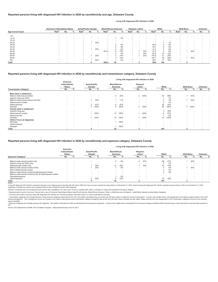## **Reported persons living with diagnosed HIV infection in 2020 by race/ethnicity and age, Delaware County**

#### **Living with diagnosed HIV infection in 2020**

**Living with diagnosed HIV infection in 2020**

|                    | American Indian/Alaska Native |        | Asian/Pacific Islander |                   | Black/African-American   |     | Hispanic/ Latinx <sup>a</sup> |        |     | White             |                          |                          | <b>Multi-Race</b> |     |     | Unknown           |     |     |     |      |
|--------------------|-------------------------------|--------|------------------------|-------------------|--------------------------|-----|-------------------------------|--------|-----|-------------------|--------------------------|--------------------------|-------------------|-----|-----|-------------------|-----|-----|-----|------|
| Age at end of year | Rate <sup>p</sup>             | No.    | $\%$                   | Rate <sup>"</sup> | No.                      | %   | Rate <sup>'</sup>             | No.    | %   | Rate <sup>"</sup> | No.                      | %                        | Rate <sup>"</sup> | No. | ℅   | Rate <sup>"</sup> | No. |     | No. | $\%$ |
|                    |                               |        |                        |                   |                          |     |                               |        |     |                   |                          |                          |                   |     |     |                   |     |     |     |      |
| < 13               |                               |        |                        |                   |                          |     |                               |        |     |                   |                          |                          |                   |     |     |                   |     |     |     |      |
| $13 - 14$          |                               |        |                        |                   |                          | .   |                               |        | 5%  |                   |                          |                          |                   |     |     |                   |     |     |     |      |
| 15-19              |                               |        |                        |                   |                          | . . |                               |        | . . |                   |                          |                          |                   |     |     |                   |     |     |     |      |
| $20 - 24$          |                               |        |                        |                   |                          | 25% |                               |        | . . |                   |                          | $\overline{\phantom{a}}$ |                   |     | 1%  |                   |     |     |     |      |
| 25-29              |                               |        |                        |                   |                          | . . |                               |        | 9%  |                   | $\overline{\phantom{a}}$ | $\overline{\phantom{a}}$ | 83.8              |     | 6%  |                   |     |     |     |      |
| 30-34              |                               |        |                        |                   |                          |     |                               |        | 9%  |                   | $\overline{\phantom{a}}$ | $\overline{\phantom{a}}$ | 55.1              |     | 5%  |                   |     |     |     |      |
| 35-39              |                               |        |                        |                   |                          | 25% |                               |        | 9%  |                   |                          | $\overline{\phantom{a}}$ | 41.2              |     | 5%  | 大                 |     |     |     |      |
| 40-44              |                               |        |                        |                   | $\overline{\phantom{a}}$ | .   | 875.9                         | 6      | 27% |                   |                          | 33%                      | 61.2              |     | 8%  |                   |     | 50% |     |      |
| 45-49              |                               |        |                        |                   |                          | . . |                               |        | 9%  |                   |                          | 33%                      | 87.5              | 12  | 12% |                   |     |     |     |      |
| 50-54              |                               |        |                        |                   |                          | 25% |                               |        | 14% |                   |                          | 33%                      | 157.8             | 21  | 20% |                   |     |     |     |      |
| 55-64              |                               |        |                        |                   |                          | . . |                               | $\sim$ | 14% |                   |                          | $\overline{\phantom{a}}$ | 124.1             | 29  | 28% |                   |     | 50% |     |      |
| 65+                |                               |        |                        |                   |                          | 25% |                               |        | 5%  |                   |                          | $\overline{\phantom{a}}$ | 58.7              | 17  | 16% |                   |     |     |     |      |
| Total              |                               | $\sim$ |                        |                   |                          |     | 259.5                         | 22     |     |                   |                          |                          | 58.8              | 104 |     |                   |     |     |     |      |

### **Reported persons living with diagnosed HIV infection in 2020 by race/ethnicity and transmission category, Delaware County**

|                                          |                                     |                          |                           |                          |                            |      | Living with diagnosed HIV infection in 2020 |                          |                          |                          |                   |                          |                          |      |
|------------------------------------------|-------------------------------------|--------------------------|---------------------------|--------------------------|----------------------------|------|---------------------------------------------|--------------------------|--------------------------|--------------------------|-------------------|--------------------------|--------------------------|------|
|                                          | American<br>Indian/Alaska<br>Native |                          | Asian/Pacific<br>Islander |                          | Black/African-<br>American |      | Hispanic/<br>Latinx <sup>a</sup>            |                          | White                    |                          | <b>Multi-Race</b> |                          | Unknown                  |      |
| <b>Transmission Category<sup>c</sup></b> | No.                                 | $\%$                     | No.                       | %                        | No.                        | $\%$ | No.                                         | $\%$                     | No.                      | %                        | No.               | ℅                        | No.                      | $\%$ |
| Male adult or adolescent                 |                                     |                          |                           |                          |                            |      |                                             |                          |                          |                          |                   |                          |                          |      |
| Male-to-male sexual contact              | $\overline{\phantom{a}}$            |                          | $\overline{\phantom{a}}$  |                          | 2                          | 22%  |                                             | 2 100%                   | 63                       | 68%                      |                   | 50%                      | $\sim$                   |      |
| Injection drug use (IDU)                 | $\overline{\phantom{a}}$            |                          | $\overline{\phantom{a}}$  | $\overline{\phantom{a}}$ |                            |      | $\sim$                                      | $\overline{\phantom{a}}$ |                          | 1%                       | ٠                 | $\overline{\phantom{a}}$ | $\overline{\phantom{a}}$ |      |
| Male-to-male sexual contact and IDU      |                                     |                          |                           | 33%                      |                            | 11%  | . .                                         | $\overline{\phantom{a}}$ |                          | 4%                       |                   | 50%                      | $\overline{\phantom{a}}$ |      |
| Heterosexual contact                     |                                     |                          |                           |                          |                            |      | $\sim$                                      |                          | $\Omega$                 | 2%                       | -                 | $\overline{\phantom{a}}$ | $\overline{\phantom{a}}$ |      |
| Other/unknown                            |                                     |                          | 2                         | 67%                      | 6                          | 67%  |                                             |                          | 22                       | 24%                      |                   |                          | $\overline{\phantom{a}}$ |      |
| Subtotal                                 |                                     |                          | 3                         | 100%                     | 9                          | 100% |                                             | 2 100%                   | 92                       | 100%                     | $\overline{2}$    | 100%                     | $\overline{\phantom{a}}$ |      |
| Female adult or adolescent               |                                     |                          |                           |                          |                            |      |                                             |                          |                          |                          |                   |                          |                          |      |
| Injection drug use                       | $\overline{\phantom{a}}$            |                          | $\overline{\phantom{a}}$  |                          | ۰                          |      |                                             | ٠.                       | 3                        | 25%                      | -                 |                          |                          |      |
| Heterosexual contact                     | $\overline{\phantom{a}}$            | $\overline{\phantom{a}}$ |                           | 100%                     | 12                         | 100% |                                             | 100%                     | 8                        | 67%                      | -                 |                          | $\overline{\phantom{a}}$ |      |
| Other/unknown                            | $\overline{\phantom{a}}$            |                          | $\overline{\phantom{a}}$  |                          | $\overline{\phantom{a}}$   |      |                                             |                          |                          | 8%                       | ٠                 |                          | $\overline{\phantom{a}}$ |      |
| Subtotal                                 | $\overline{\phantom{a}}$            | $\overline{\phantom{a}}$ |                           | 100%                     | 12                         | 100% |                                             | 100%                     | 12                       | 100%                     | -                 | $\overline{\phantom{a}}$ | $\overline{\phantom{a}}$ |      |
| Child (<13 yrs at diagnosis)             |                                     |                          |                           |                          |                            |      |                                             |                          |                          |                          |                   |                          |                          |      |
| Perinatal                                | $\overline{\phantom{a}}$            |                          | $\overline{\phantom{a}}$  | $\overline{\phantom{a}}$ |                            | 100% | $\sim$                                      | $\overline{\phantom{a}}$ | $\overline{\phantom{a}}$ | $\overline{\phantom{a}}$ | ٠                 |                          |                          |      |
| Other/unknown                            |                                     |                          | $\overline{\phantom{a}}$  |                          |                            |      |                                             |                          |                          | ۰                        |                   |                          |                          |      |
| Subtotal                                 | $\overline{\phantom{a}}$            |                          | $\overline{\phantom{a}}$  | $\overline{\phantom{a}}$ |                            | 100% |                                             |                          |                          | $\overline{\phantom{a}}$ | -                 |                          |                          |      |
| Total                                    | $\overline{\phantom{a}}$            |                          |                           |                          | 22                         |      | 3                                           |                          | 104                      |                          | $\overline{2}$    |                          | $\overline{\phantom{a}}$ |      |

## **Reported persons living with diagnosed HIV infection in 2020 by race/ethnicity and exposure category, Delaware County**

|                                                          |                                            |                          |                           |     |                            |     | Living with diagnosed Hiv intection in 2020 |                          |                          |                          |     |                |  |
|----------------------------------------------------------|--------------------------------------------|--------------------------|---------------------------|-----|----------------------------|-----|---------------------------------------------|--------------------------|--------------------------|--------------------------|-----|----------------|--|
|                                                          | American<br>Indian/Alaska<br><b>Native</b> |                          | Asian/Pacific<br>Islander |     | Black/African-<br>American |     | Hispanic/<br>Latinxa                        |                          | White                    | <b>Multi-Race</b>        |     | <b>Unknown</b> |  |
| <b>Exposure Category</b> <sup>a</sup>                    | No.                                        |                          | No.                       |     | No.                        |     | No.                                         |                          | No.                      | No.                      |     | No.            |  |
| Male-to-male sexual contact only                         |                                            | $\overline{\phantom{a}}$ | $\sim$                    | . . |                            | 9%  | $\overline{2}$                              | 67%                      | 57%<br>59                |                          | 50% |                |  |
| Injection drug use (IDU) only                            |                                            | . .                      |                           | . . |                            |     |                                             |                          | 2%                       | $\overline{\phantom{a}}$ |     |                |  |
| Heterosexual contact only                                |                                            | $\overline{\phantom{a}}$ |                           | 25% | 12                         | 55% |                                             | 33%                      | 10%<br>10                |                          |     |                |  |
| Male-to-male sexual contact & IDU                        | . .                                        | . .                      |                           | 25% |                            | 5%  |                                             | $\overline{\phantom{a}}$ | 4%                       |                          | 50% |                |  |
| IDU & Heterosexual contact                               |                                            | . .                      |                           | . . | $\overline{\phantom{a}}$   |     | $\sim$                                      | $\overline{\phantom{a}}$ | 2%                       |                          |     |                |  |
| Male-to-male sexual contact & Heterosexual contact       |                                            | $\overline{\phantom{a}}$ |                           | . . | $\overline{\phantom{a}}$   |     |                                             | $\overline{\phantom{a}}$ | 4%                       |                          |     |                |  |
| Male-to-male sexual contact & IDU & Heterosexual contact |                                            | . .                      |                           | . . | $\overline{\phantom{a}}$   |     |                                             | $\overline{\phantom{a}}$ | $\overline{\phantom{a}}$ |                          |     |                |  |
| Perinatal exposure                                       | . .                                        | . .                      | $\sim$                    | . . |                            | 5%  | . .                                         | $\overline{\phantom{a}}$ | $\overline{\phantom{a}}$ |                          |     |                |  |
| Other/unknown                                            | $\sim$                                     | . .                      | $\mathcal{D}$             | 50% | 6                          | 27% |                                             | $\overline{\phantom{a}}$ | 22%<br>23                |                          |     |                |  |
| Total                                                    |                                            |                          |                           |     | 22                         |     |                                             |                          | 104                      |                          |     |                |  |

**Total - 4 22 3 104 2 -** Notes: Living with diagnosed HIV infection represents all persons ever diagnosed and reported with HIV and/or AIDS who have not been reported as having died as of December 31, 2020. Persons living with diagnosed HIV infection represent persons living in Ohio as of December 31, 2020, regardless of whether the person was a resident of Ohio at time of initial HIV and/or AIDS diagnosis.

Asterisk (\*) indicates rate not calculated because census data unavailable or for case count <5 due to unstable rates. Dash (-) indicates no cases were reported for the given category.

Hispanics/Latinx may be of any race. Persons with a race of American Indian/Alaska Native, Asian/Pacific Islander, Black/African-American, White, or Multi-Race are not-Hispanic. Asian/Pacific Islander includes Native Hawai

ᵇ The rate is the number of persons living with diagnosed HIV infection per 100,000 population calculated using U.S. Census estimates for that year.

∘ Transmission categories are mutually exclusive, hierarchical risk categories determined by the CDC and system-calculated using sex at birth and risk factor history to determine mode of transmission. A person with multip

Exposure categories are mutually exclusive risk categories. All possible combinations of risks are represented among exposure categories. A person with multiple risks is represented in the exposure category identifying all HIV.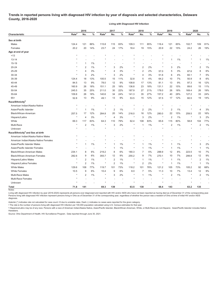## **Trends in reported persons living with diagnosed HIV infection by year of diagnosis and selected characteristics, Delaware County, 2016-2020**

**Living with Diagnosed HIV Infection**

|                                              |                   | 2016             |           |                   | 2017           |                |                   | 2018           |       | 2019              |                |          | 2020              |                |      |
|----------------------------------------------|-------------------|------------------|-----------|-------------------|----------------|----------------|-------------------|----------------|-------|-------------------|----------------|----------|-------------------|----------------|------|
| Characteristic                               | Rate <sup>a</sup> | No.              | %         | Rate <sup>a</sup> | No.            | $\%$           | Rate <sup>a</sup> | No.            | $\%$  | Rate <sup>a</sup> | No.            | %        | Rate <sup>a</sup> | No.            | $\%$ |
| Sex at birth                                 |                   |                  |           |                   |                |                |                   |                |       |                   |                |          |                   |                |      |
| Males                                        | 124.4             | 121              | 86%       | 115.8             | 115            | 83%            | 109.3             | 111            | 85%   | 116.4             | 121            | 85%      | 102.7             | 109            | 81%  |
| Females                                      | 20.2              | 20               | 14%       | 23.7              | 24             | 17%            | 18.4              | 19             | 15%   | 20.9              | 22             | 15%      | 24.2              | 26             | 19%  |
| Age at end of year                           |                   |                  |           |                   |                |                |                   |                |       |                   |                |          |                   |                |      |
| ~13                                          | $\star$           |                  |           |                   |                |                |                   |                |       |                   |                |          |                   |                |      |
| $13 - 14$                                    |                   |                  |           |                   |                |                |                   |                |       |                   | $\mathbf{1}$   | $1\%$    |                   | 1              | 1%   |
| 15-19                                        |                   | $\overline{1}$   | 1%        |                   |                | ÷,             |                   |                |       |                   | ÷,             | ٠.       | $\star$           |                |      |
| $20 - 24$                                    |                   | $\overline{2}$   | $1\%$     |                   | 3              | 2%             |                   | $\overline{2}$ | 2%    |                   | 3              | 2%       | $\star$           | 2              | 1%   |
| 25-29                                        |                   | $\overline{4}$   | 3%        | $\star$           | 4              | 3%             | $\star$           | $\overline{2}$ | 2%    | 57.0              | 5              | 3%       | 87.6              | 8              | 6%   |
| 30-34                                        | ÷                 | 3                | 2%        | $\star$           | 3              | 2%             | $^\star$          | 4              | 3%    |                   | 6              | 4%       |                   | $\overline{7}$ |      |
|                                              |                   |                  |           |                   |                |                |                   |                |       | 51.6              |                |          | 60.1              |                | 5%   |
| 35-39                                        | 124.4             | 18               | 13%<br>9% | 100.5             | 15             | 11%            | 32.8              | 5              | 4%    | 64.2              | 10             | 7%<br>9% | 50.9              | 8              | 6%   |
| 40-44                                        | 84.5              | 13               |           | 78.0              | 12             | 9%             | 108.8             | 17             | 13%   | 81.1              | 13             |          | 97.3              | 16             | 12%  |
| 45-49                                        | 160.9             | 26               | 18%       | 151.1             | 25             | 18%            | 136.8             | 23             | 18%   | 131.1             | 22             | 15%      | 89.6              | 15             | 11%  |
| 50-54                                        | 245.5             | 35               | 25%       | 211.0             | 30             | 22%            | 187.9             | 27             | 21%   | 178.0             | 26             | 18%      | 169.4             | 26             | 19%  |
| 55-64                                        | 109.8             | 26               | 18%       | 140.6             | 34             | 24%            | 141.3             | 35             | 27%   | 157.2             | 40             | 28%      | 127.2             | 33             | 24%  |
| $65+$                                        | 52.8              | 13               | 9%        | 49.1              | 13             | 9%             | 53.5              | 15             | 12%   | 57.5              | 17             | 12%      | 60.5              | 19             | 14%  |
| Race/Ethnicity <sup>b</sup>                  |                   |                  |           |                   |                |                |                   |                |       |                   |                |          |                   |                |      |
| American Indian/Alaska Native                |                   | ÷,               |           |                   |                |                | $\star$           |                |       |                   |                |          |                   |                |      |
| Asian/Pacific Islander                       | $\star$           | $\overline{1}$   | 1%        |                   | $\overline{2}$ | 1%             | $^\star$          | $\overline{2}$ | 2%    |                   | $\overline{2}$ | 1%       |                   | $\overline{4}$ | 3%   |
| Black/African-American                       | 257.5             | 17               | 12%       | 284.8             | 20             | 14%            | 216.0             | 16             | 12%   | 280.0             | 22             | 15%      | 259.5             | 22             | 16%  |
| Hispanic/Latinx                              | $^\star$          | $\overline{4}$   | 3%        | $\star$           | 4              | 3%             | $\star$           | 3              | 2%    | $\star$           | $\overline{2}$ | 1%       | $^\star$          | 3              | 2%   |
| White                                        | 69.3              | 117              | 83%       | 64.3              | 110            | 79%            | 62.4              | 108            | 83%   | 65.6              | 115            | 80%      | 58.8              | 104            | 77%  |
| Multi-Race                                   | $\star$           | 2                | $1\%$     | $\star$           | 3              | 2%             | $\star$           | $\mathbf{1}$   | 1%    |                   | $\overline{2}$ | $1\%$    | $\star$           | $\overline{2}$ | 1%   |
| Unknown                                      |                   |                  |           |                   |                |                |                   |                |       |                   |                |          |                   |                |      |
| Race/Ethnicity <sup>b</sup> and Sex at birth |                   |                  |           |                   |                |                |                   |                |       |                   |                |          |                   |                |      |
| American Indian/Alaska Native Males          |                   |                  |           |                   |                |                |                   |                |       |                   |                |          |                   |                |      |
| American Indian/Alaska Native Females        |                   |                  |           |                   |                | $\overline{a}$ |                   |                |       |                   |                |          |                   |                |      |
| Asian/Pacific Islander Males                 |                   | $\mathbf{1}$     | 1%        |                   | $\mathbf{1}$   | 1%             |                   | 1              | $1\%$ |                   | $\mathbf{1}$   | 1%       |                   | 3              | 2%   |
| Asian/Pacific Islander Females               |                   |                  |           |                   | $\mathbf{1}$   | 1%             | $\star$           | $\mathbf{1}$   | $1\%$ |                   | $\mathbf{1}$   | 1%       |                   | $\mathbf{1}$   | 1%   |
| <b>Black/African-American Males</b>          | 234.1             | 8                | 6%        | 219.2             | 8              | 6%             | 180.3             | $\overline{7}$ | 5%    | 288.9             | 12             | 8%       | 223.5             | 10             | 7%   |
| <b>Black/African-American Females</b>        | 282.6             | 9                | 6%        | 355.7             | 12             | 9%             | 255.2             | 9              | 7%    | 270.1             | 10             | 7%       | 299.8             | 12             | 9%   |
| Hispanic/Latino Males                        | ×                 | $\overline{2}$   | 1%        | $\star$           | $\overline{2}$ | 1%             | $\star$           | $\mathbf{1}$   | 1%    | $^\star$          | $\overline{1}$ | 1%       | $^{\star}$        | $\overline{2}$ | 1%   |
| Hispanic/Latina Females                      | ÷                 | $\overline{2}$   | 1%        |                   | $\overline{2}$ | 1%             | $\star$           | $\overline{2}$ | 2%    |                   | $\mathbf{1}$   | 1%       |                   | $\mathbf{1}$   | 1%   |
| <b>White Males</b>                           | 129.6             | 108              | 77%       | 119.7             | 101            | 73%            | 118.2             | 101            | 78%   | 121.2             | 105            | 73%      | 105.2             | 92             | 68%  |
| <b>White Females</b>                         | 10.5              | $\boldsymbol{9}$ | 6%        | 10.4              | 9              | 6%             | 8.0               | $\overline{7}$ | 5%    | 11.3              | 10             | 7%       | 13.4              | 12             | 9%   |
| <b>Multi-Race Males</b>                      | ×                 | $\overline{2}$   | 1%        |                   | 3              | 2%             | ×                 | $\mathbf{1}$   | 1%    |                   | $\overline{2}$ | 1%       | $\star$           | $\overline{2}$ | 1%   |
| Multi-Race Females                           |                   |                  |           |                   |                |                |                   |                |       |                   |                |          |                   |                |      |
| Unknown                                      |                   |                  |           |                   |                |                |                   |                |       |                   |                |          |                   |                |      |
| Total                                        | 71.8              | 141              |           | 69.3              | 139            |                | 63.5              | 130            |       | 68.4              | 143            |          | 63.2              | 135            |      |
| Notes:                                       |                   |                  |           |                   |                |                |                   |                |       |                   |                |          |                   |                |      |

Living with diagnosed HIV infection by year (2016-2020) represents all persons ever diagnosed and reported with HIV and/or AIDS who have not been reported as having died as of December 31 of the corresponding year. Persons living with diagnosed HIV infection represent persons living in Ohio as of December 31 of the corresponding year, regardless of whether the person was a resident of Ohio at time of initial HIV and/or AIDS diagnosis.

Asterisk (\*) indicates rate not calculated for case count <5 due to unstable rates. Dash (-) indicates no cases were reported for the given category.

<sup>a</sup> The rate is the number of persons living with diagnosed HIV infection per 100,000 population calculated using U.S. Census estimates for that year.

ᵇ Hispanics/Latinx may be of any race. Persons with a race of American Indian/Alaska Native, Asian/Pacific Islander, Black/African-American, White, or Multi-Race are not-Hispanic. Asian/Pacific Islander includes Native Hawaiians.